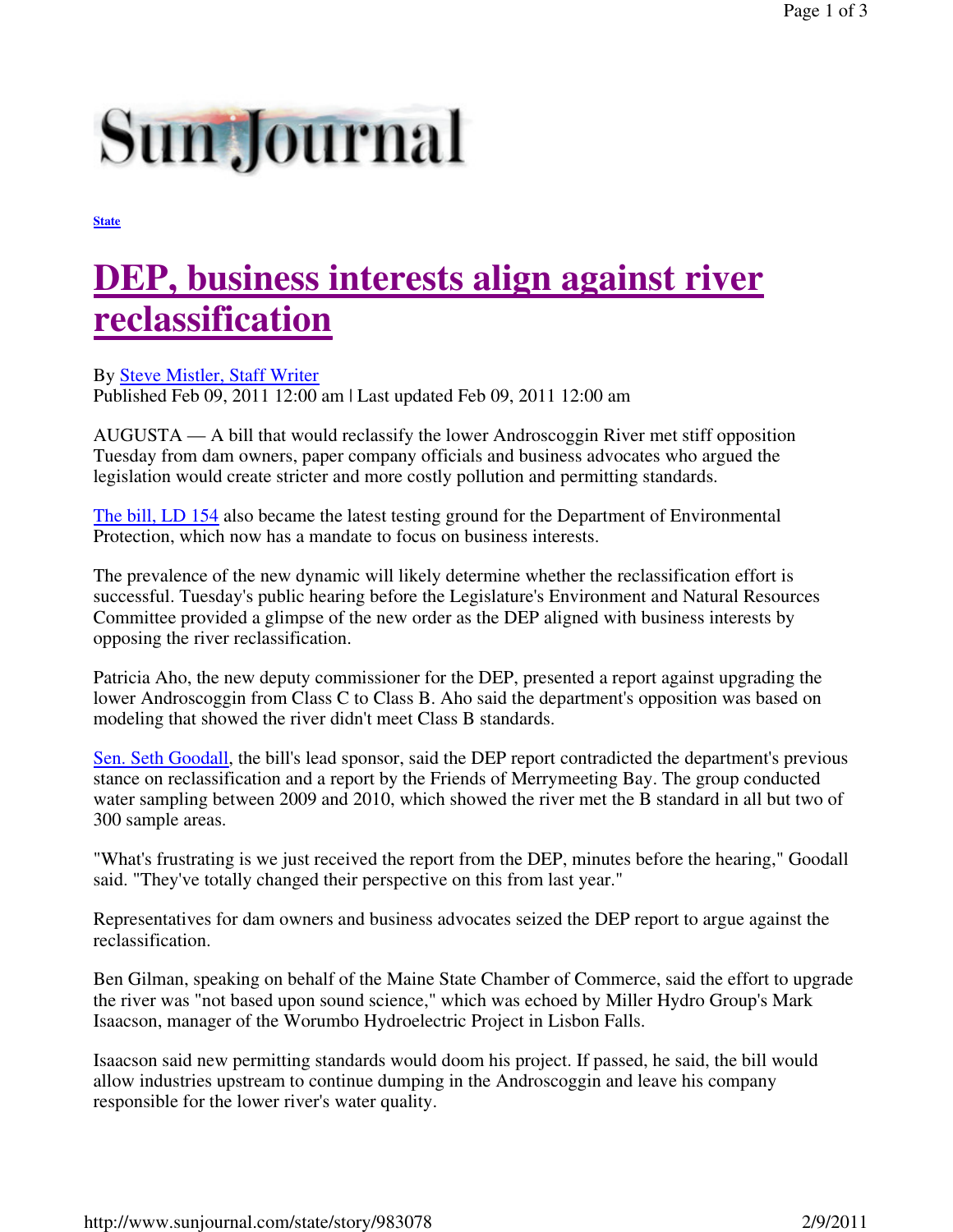## **Sun Journal**

**State**

## **DEP, business interests align against river reclassification**

By Steve Mistler, Staff Writer

Published Feb 09, 2011 12:00 am | Last updated Feb 09, 2011 12:00 am

AUGUSTA — A bill that would reclassify the lower Androscoggin River met stiff opposition Tuesday from dam owners, paper company officials and business advocates who argued the legislation would create stricter and more costly pollution and permitting standards.

The bill, LD 154 also became the latest testing ground for the Department of Environmental Protection, which now has a mandate to focus on business interests.

The prevalence of the new dynamic will likely determine whether the reclassification effort is successful. Tuesday's public hearing before the Legislature's Environment and Natural Resources Committee provided a glimpse of the new order as the DEP aligned with business interests by opposing the river reclassification.

Patricia Aho, the new deputy commissioner for the DEP, presented a report against upgrading the lower Androscoggin from Class C to Class B. Aho said the department's opposition was based on modeling that showed the river didn't meet Class B standards.

Sen. Seth Goodall, the bill's lead sponsor, said the DEP report contradicted the department's previous stance on reclassification and a report by the Friends of Merrymeeting Bay. The group conducted water sampling between 2009 and 2010, which showed the river met the B standard in all but two of 300 sample areas.

"What's frustrating is we just received the report from the DEP, minutes before the hearing," Goodall said. "They've totally changed their perspective on this from last year."

Representatives for dam owners and business advocates seized the DEP report to argue against the reclassification.

Ben Gilman, speaking on behalf of the Maine State Chamber of Commerce, said the effort to upgrade the river was "not based upon sound science," which was echoed by Miller Hydro Group's Mark Isaacson, manager of the Worumbo Hydroelectric Project in Lisbon Falls.

Isaacson said new permitting standards would doom his project. If passed, he said, the bill would allow industries upstream to continue dumping in the Androscoggin and leave his company responsible for the lower river's water quality.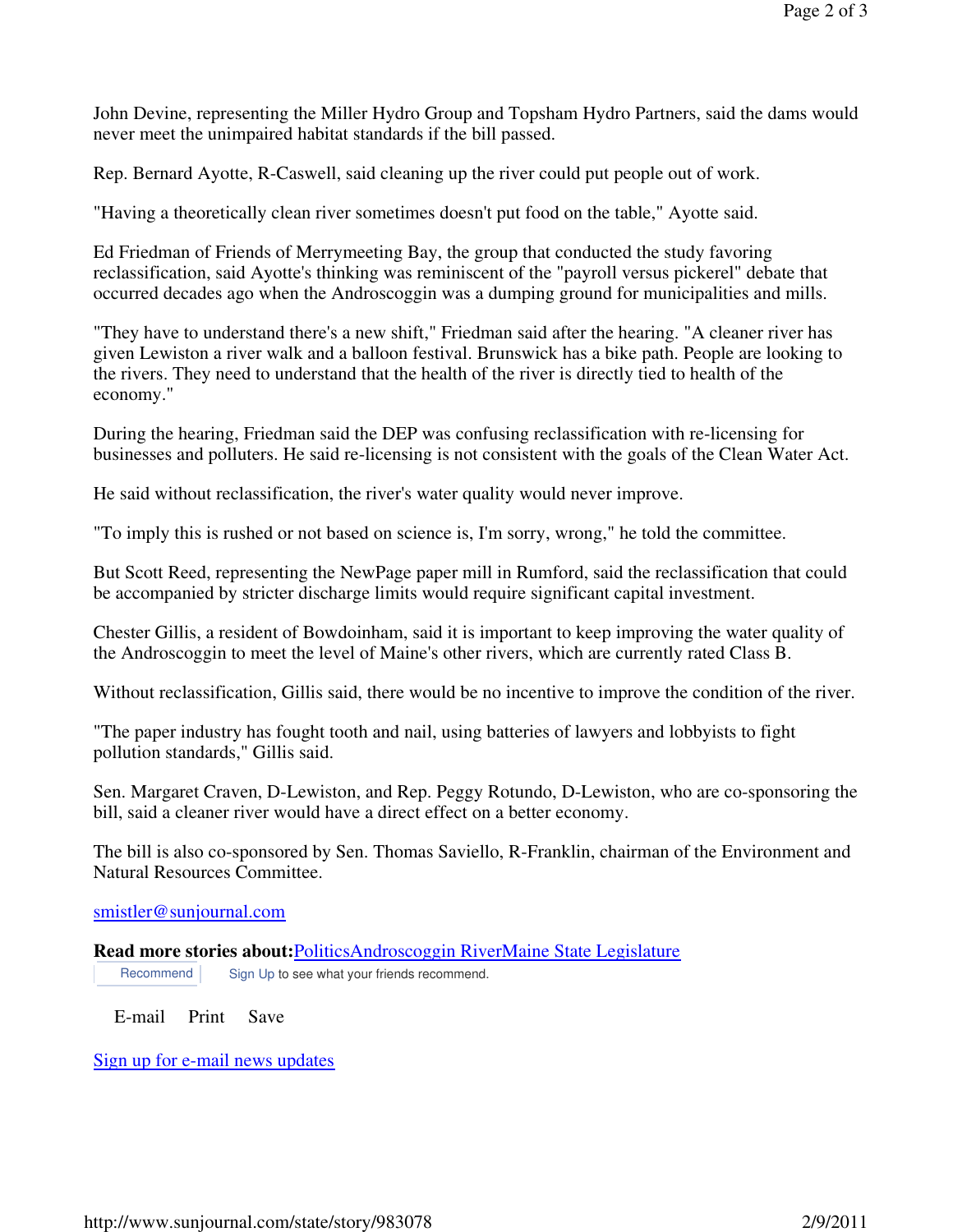John Devine, representing the Miller Hydro Group and Topsham Hydro Partners, said the dams would never meet the unimpaired habitat standards if the bill passed.

Rep. Bernard Ayotte, R-Caswell, said cleaning up the river could put people out of work.

"Having a theoretically clean river sometimes doesn't put food on the table," Ayotte said.

Ed Friedman of Friends of Merrymeeting Bay, the group that conducted the study favoring reclassification, said Ayotte's thinking was reminiscent of the "payroll versus pickerel" debate that occurred decades ago when the Androscoggin was a dumping ground for municipalities and mills.

"They have to understand there's a new shift," Friedman said after the hearing. "A cleaner river has given Lewiston a river walk and a balloon festival. Brunswick has a bike path. People are looking to the rivers. They need to understand that the health of the river is directly tied to health of the economy."

During the hearing, Friedman said the DEP was confusing reclassification with re-licensing for businesses and polluters. He said re-licensing is not consistent with the goals of the Clean Water Act.

He said without reclassification, the river's water quality would never improve.

"To imply this is rushed or not based on science is, I'm sorry, wrong," he told the committee.

But Scott Reed, representing the NewPage paper mill in Rumford, said the reclassification that could be accompanied by stricter discharge limits would require significant capital investment.

Chester Gillis, a resident of Bowdoinham, said it is important to keep improving the water quality of the Androscoggin to meet the level of Maine's other rivers, which are currently rated Class B.

Without reclassification, Gillis said, there would be no incentive to improve the condition of the river.

"The paper industry has fought tooth and nail, using batteries of lawyers and lobbyists to fight pollution standards," Gillis said.

Sen. Margaret Craven, D-Lewiston, and Rep. Peggy Rotundo, D-Lewiston, who are co-sponsoring the bill, said a cleaner river would have a direct effect on a better economy.

The bill is also co-sponsored by Sen. Thomas Saviello, R-Franklin, chairman of the Environment and Natural Resources Committee.

## smistler@sunjournal.com

**Read more stories about:**PoliticsAndroscoggin RiverMaine State Legislature Recommend Sign Up to see what your friends recommend.

E-mail Print Save

Sign up for e-mail news updates